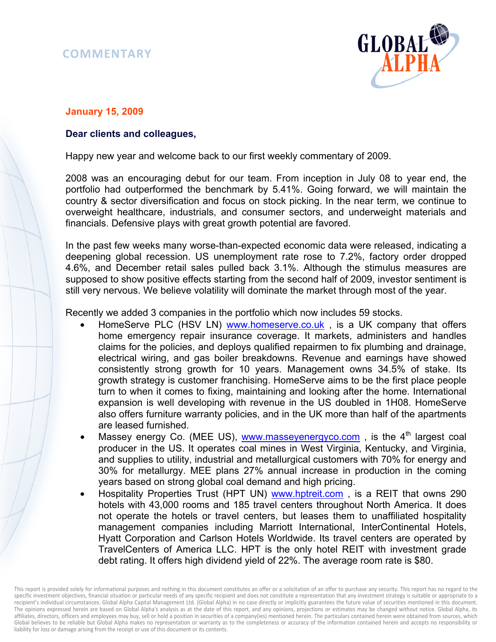# **COMMENTARY**



# **January 15, 2009**

# **Dear clients and colleagues,**

Happy new year and welcome back to our first weekly commentary of 2009.

2008 was an encouraging debut for our team. From inception in July 08 to year end, the portfolio had outperformed the benchmark by 5.41%. Going forward, we will maintain the country & sector diversification and focus on stock picking. In the near term, we continue to overweight healthcare, industrials, and consumer sectors, and underweight materials and financials. Defensive plays with great growth potential are favored.

In the past few weeks many worse-than-expected economic data were released, indicating a deepening global recession. US unemployment rate rose to 7.2%, factory order dropped 4.6%, and December retail sales pulled back 3.1%. Although the stimulus measures are supposed to show positive effects starting from the second half of 2009, investor sentiment is still very nervous. We believe volatility will dominate the market through most of the year.

Recently we added 3 companies in the portfolio which now includes 59 stocks.

- HomeServe PLC (HSV LN) www.homeserve.co.uk , is a UK company that offers home emergency repair insurance coverage. It markets, administers and handles claims for the policies, and deploys qualified repairmen to fix plumbing and drainage, electrical wiring, and gas boiler breakdowns. Revenue and earnings have showed consistently strong growth for 10 years. Management owns 34.5% of stake. Its growth strategy is customer franchising. HomeServe aims to be the first place people turn to when it comes to fixing, maintaining and looking after the home. International expansion is well developing with revenue in the US doubled in 1H08. HomeServe also offers furniture warranty policies, and in the UK more than half of the apartments are leased furnished.
- Massey energy Co. (MEE US), www.masseyenergyco.com, is the 4<sup>th</sup> largest coal producer in the US. It operates coal mines in West Virginia, Kentucky, and Virginia, and supplies to utility, industrial and metallurgical customers with 70% for energy and 30% for metallurgy. MEE plans 27% annual increase in production in the coming years based on strong global coal demand and high pricing.
- Hospitality Properties Trust (HPT UN) www.hptreit.com , is a REIT that owns 290 hotels with 43,000 rooms and 185 travel centers throughout North America. It does not operate the hotels or travel centers, but leases them to unaffiliated hospitality management companies including Marriott International, InterContinental Hotels, Hyatt Corporation and Carlson Hotels Worldwide. Its travel centers are operated by TravelCenters of America LLC. HPT is the only hotel REIT with investment grade debt rating. It offers high dividend yield of 22%. The average room rate is \$80.

This report is provided solely for informational purposes and nothing in this document constitutes an offer or a solicitation of an offer to purchase any security. This report has no regard to the specific investment objectives, financial situation or particular needs of any specific recipient and does not constitute a representation that any investment strategy is suitable or appropriate to a recipient's individual circumstances. Global Alpha Capital Management Ltd. (Global Alpha) in no case directly or implicitly guarantees the future value of securities mentioned in this document. The opinions expressed herein are based on Global Alpha's analysis as at the date of this report, and any opinions, projections or estimates may be changed without notice. Global Alpha, its affiliates, directors, officers and employees may buy, sell or hold a position in securities of a company(ies) mentioned herein. The particulars contained herein were obtained from sources, which Global believes to be reliable but Global Alpha makes no representation or warranty as to the completeness or accuracy of the information contained herein and accepts no responsibility or liability for loss or damage arising from the receipt or use of this document or its contents.